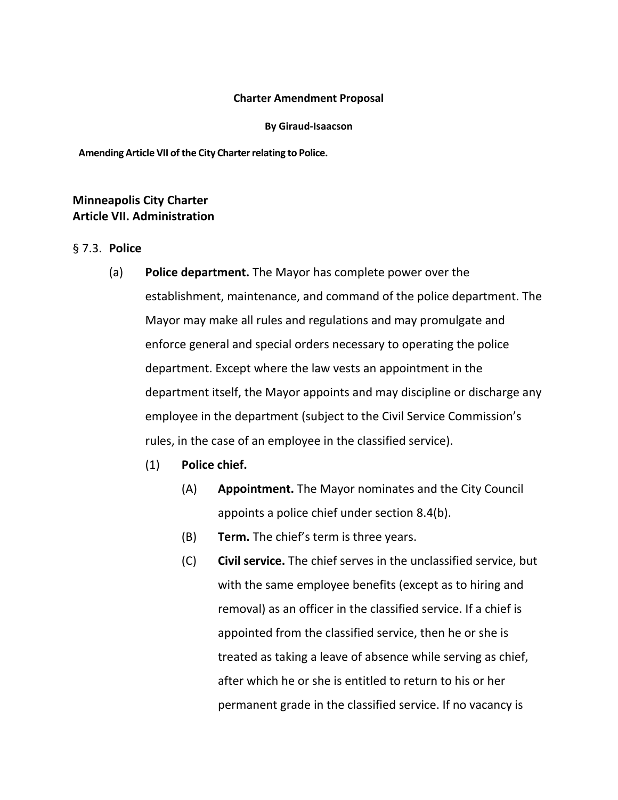## **Charter Amendment Proposal**

#### **By Giraud-Isaacson**

**AmendingArticle VII ofthe City Charterrelating to Police.**

# **Minneapolis City Charter Article VII. Administration**

# § 7.3. **Police**

- (a) **Police department.** The Mayor has complete power over the establishment, maintenance, and command of the police department. The Mayor may make all rules and regulations and may promulgate and enforce general and special orders necessary to operating the police department. Except where the law vests an appointment in the department itself, the Mayor appoints and may discipline or discharge any employee in the department (subject to the Civil Service Commission's rules, in the case of an employee in the classified service).
	- (1) **Police chief.**
		- (A) **Appointment.** The Mayor nominates and the City Council appoints a police chief under section 8.4(b).
		- (B) **Term.** The chief's term is three years.
		- (C) **Civil service.** The chief serves in the unclassified service, but with the same employee benefits (except as to hiring and removal) as an officer in the classified service. If a chief is appointed from the classified service, then he or she is treated as taking a leave of absence while serving as chief, after which he or she is entitled to return to his or her permanent grade in the classified service. If no vacancy is